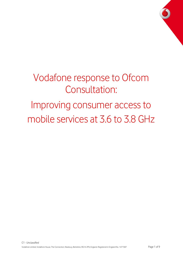# Vodafone response to Ofcom Consultation: Improving consumer access to mobile services at 3.6 to 3.8 GHz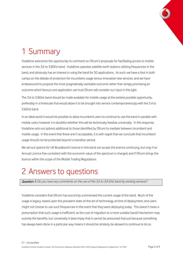

## 1 Summary

Vodafone welcomes the opportunity to comment on Ofcom's proposals for facilitating access to mobile services in the 3.6 to 3.8GHz band. Vodafone operates satellite earth stations utilising frequencies in the band, and obviously has an interest in using the band for 5G applications. As such, we have a foot in both camps on the debate of protection for incumbent usage versus innovative new services, and we have endeavoured to propose the most pragmatically workable outcome rather than simply prioritising an outcome which favours one application: we trust Ofcom will consider our input in this light.

The 3.6 to 3.8GHz band should be made available for mobile usage at the earliest possible opportunity, preferably in a timescale that would allow it to be brought into service contemporaneously with the 3.4 to 3.6GHz band.

In an ideal world it would be possible to allow incumbent users to continue to use the band in parallel with mobile users; however it is doubtful whether this will be technically feasible universally. In this response, Vodafone sets out options additional to those identified by Ofcom to mediate between incumbent and mobile usage. In the event that these aren't acceptable, it is with regret that we conclude that incumbent usage should not be protected beyond a transition period.

We set out options for UK Broadband's licence in this band; we accept the licence continuing, but only if an Annual Licence Fee consistent with the economic value of the spectrum is charged, and if Ofcom brings the licence within the scope of the Mobile Trading Regulations.

### 2 Answers to questions

Question 1: Do you have any comments on the use of the 3.6 to 3.8 GHz band by existing services?

Vodafone considers that Ofcom has succinctly summarised the current usage of the band. Much of the usage is legacy, based upon the prevalent state-of-the-art of technology at time of deployment, and users might not choose to use such frequencies in the event that they were deploying today. This doesn't mean a presumption that such usage is inefficient, as the cost of migration to a more suitable band/mechanism may outstrip the benefits, but conversely it does imply that it cannot be presumed that just because something has always been done in a particular way means it should be similarly be allowed to continue to do so.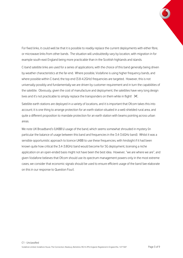For fixed links, it could well be that it is possible to readily replace the current deployments with either fibre, or microwave links from other bands. The situation will undoubtedly vary by location, with migration in for example south-east England being more practicable than in the Scottish highlands and islands.

C-band satellite links are used for a series of applications, with the choice of this band generally being driven by weather characteristics at the far-end. Where possible, Vodafone is using higher frequency bands, and where possible within C-band, the top end (3.8-4.2GHz) frequencies are targeted. However, this is not universally possibly and fundamentally we are driven by customer requirement and in turn the capabilities of the satellite. Obviously, given the cost of manufacture and deployment, the satellites have very long design lives and it's not practicable to simply replace the transponders on them while in flight!  $\mathcal{X}$ .

Satellite earth stations are deployed in a variety of locations, and it is important that Ofcom takes this into account; it is one thing to arrange protection for an earth station situated in a well-shielded rural area, and quite a different proposition to mandate protection for an earth station with beams pointing across urban areas.

We note UK Broadband's (UKBB's) usage of the band, which seems somewhat shrouded in mystery (in particular the balance of usage between this band and frequencies in the 3.4-3.6GHz band). Whilst it was a sensible opportunistic approach to licence UKBB to use these frequencies, with hindsight if it had been known quite how critical the 3.4-3.8GHz band would become for 5G deployment, licensing a niche application on an open-ended basis might not have been the best idea. However, "we are where we are", and given Vodafone believes that Ofcom should use its spectrum management powers only in the most extreme cases, we consider that economic signals should be used to ensure efficient usage of the band (we elaborate on this in our response to Question Four).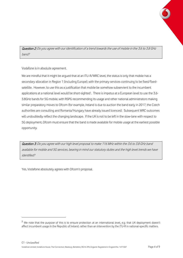

Question 2: Do you agree with our identification of a trend towards the use of mobile in the 3.6 to 3.8 GHz band?

Vodafone is in absolute agreement.

We are mindful that it might be argued that at an ITU-R/WRC level, the status is only that mobile has a secondary allocation in Region 1 (including Europe), with the primary services continuing to be fixed/fixedsatellite. However, to use this as a justification that mobile be somehow subservient to the incumbent applications at a national level would be short-sighted<sup>1</sup>. There is impetus at a European level to use the 3.6-3.8GHz bands for 5G mobile, with RSPG recommending its usage and other national administrators making similar preparatory moves to Ofcom (for example, Ireland is due to auction the band early in 2017, the Czech authorities are consulting and Romania/Hungary have already issued licences). Subsequent WRC outcomes will undoubtedly reflect the changing landscape. If the UK is not to be left in the slow-lane with respect to 5G deployment, Ofcom must ensure that the band is made available for mobile usage at the earliest possible opportunity.

Question 3: Do you agree with our high level proposal to make 116 MHz within the 3.6 to 3.8 GHz band available for mobile and 5G services, bearing in mind our statutory duties and the high level trends we have identified?

Yes, Vodafone absolutely agrees with Ofcom's proposal.

 $\overline{\phantom{0}}$ 

 $1$  We note that the purpose of this is to ensure protection at an international level, e.g. that UK deployment doesn't affect incumbent usage in the Republic of Ireland, rather than an intervention by the ITU-R in national-specific matters.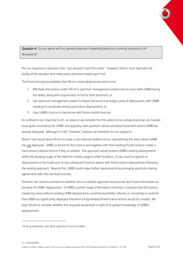

Question 4: Do you agree with our general approach regarding spectrum currently licensed to UK Broadband?

Per our response to Question One, "you wouldn't start from here". However, Ofcom must deal with the reality of the situation and make policy decisions based upon that.

The three principal possibilities that Ofcom could adopt would seem to be:

- 1. Withdraw the licence under Ofcom's spectrum management powers and re-issue (with UKBB having the ability, along with anyone else, to bid for that spectrum), or
- 2. Use spectrum management powers to freeze the licence at today's level of deployment, with UKBB needing to coordinate existing and future deployments, or
- 3. Vary UKBB's licence to harmonise with future mobile licences.

As outlined in our response to Q1, on balance we consider the first option to be unduly draconian, as it would leave great uncertainty for UKBB<sup>2</sup> and arguably raise questions about stranded investment where UKBB has already deployed. Although it is the "cleanest" solution, we therefore do not support it.

Option Two would allow Ofcom to issue a sub-national mobile licence, representing the areas where UKBB has not deployed. UKBB could bid for this licence and together with their existing/frozen licence create a harmonised national licence if they so wished. This approach would protect UKBB's existing deployments while still allowing usage of the band for mobile usage in other locations. A cap could be agreed on deployments to be made prior to any subsequent licence-award, with these interim deployments following the existing approach. Beyond this, UKBB could make further deployments by arranging spectrum sharing agreements with the eventual licensee.

However, we cannot comment on whether this is a realistic approach because we don't have information on the level of UKBB's deployment. If UKBB's current usage of the band is minimal, it could be that the licence created by areas without existing UKBB deployments could be essentially national, or conversely it could be that UKBB has significantly deployed therefore a fragmented/limited-value licence would be created. We urge Ofcom to consider whether the proposal would work in light of its greater knowledge of UKBB's deployments.

 $\overline{\phantom{0}}$ 

<sup>&</sup>lt;sup>2</sup> And, by extension, any other spectrum licence-holder.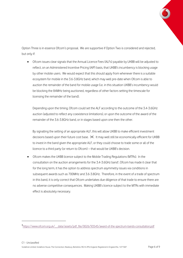

Option Three is in essence Ofcom's proposal. We are supportive if Option Two is considered and rejected, but only if:

 Ofcom issues clear signals that the Annual Licence Fees (ALFs) payable by UKBB will be adjusted to reflect, on an Administered Incentive Pricing (AIP) basis, that UKBB's incumbency is blocking usage by other mobile users. We would expect that this should apply from whenever there is a suitable ecosystem for mobile in the 3.6-3.8GHz band, which may well pre-date when Ofcom is able to auction the remainder of the band for mobile usage (i.e. in this situation UKBB's incumbency would be blocking the 84MHz being auctioned, regardless of other factors setting the timescale for licensing the remainder of the band).

Depending upon the timing, Ofcom could set the ALF according to the outcome of the 3.4-3.6GHz auction (adjusted to reflect any coexistence limitations), or upon the outcome of the award of the remainder of the 3.6-3.8GHz band, or in stages based upon one then the other.

By signalling the setting of an appropriate ALF, this will allow UKBB to make efficient investment decisions based upon their future cost base.  $\mathbb X$ . It may well still be economically efficient for UKBB to invest in the band given the appropriate ALF, or they could choose to trade some or all of the licence to a third party (or return to Ofcom) – that would be UKBB's decision.

 Ofcom makes the UKBB licence subject to the Mobile Trading Regulations (MTRs). In the consultation on the auction arrangements for the 3.4-3.6GHz band<sup>3</sup>, Ofcom has made it clear that for the long term, it has the option to address spectrum asymmetry issues via conditions in subsequent awards such as 700MHz and 3.6-3.8GHz. Therefore, in the event of a trade of spectrum in this band, it is only correct that Ofcom undertakes due diligence of that trade to ensure there are no adverse competitive consequences. Making UKBB's licence subject to the MTRs with immediate effect is absolutely necessary.

ı

<sup>3&</sup>lt;br>https://www.ofcom.org.uk/ data/assets/pdf\_file/0026/93545/award-of-the-spectrum-bands-consultation.pdf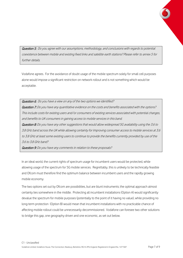

Question 5: Do you agree with our assumptions, methodology, and conclusions with regards to potential coexistence between mobile and existing fixed links and satellite earth stations? Please refer to annex 5 for further details.

Vodafone agrees. For the avoidance of doubt usage of the mobile spectrum solely for small cell purposes alone would impose a significant restriction on network rollout and is not something which would be acceptable.

Question 6: Do you have a view on any of the two options we identified? Question 7: Do you have any quantitative evidence on the costs and benefits associated with the options? This include costs for existing users and/or consumers of existing services associated with potential changes, and benefits to UK consumers in gaining access to mobile services in this band. Question 8: Do you have any other suggestions that would allow widespread 5G availability using the 3.6 to 3.8 GHz band across the UK while allowing certainty for Improving consumer access to mobile services at 3.6 to 3.8 GHz at least some existing users to continue to provide the benefits currently provided by use of the 3.6 to 3.8 GHz band?

Question 9: Do you have any comments in relation to these proposals?

In an ideal world, the current rights of spectrum usage for incumbent users would be protected, while allowing usage of the spectrum for 5G mobile services. Regrettably, this is unlikely to be technically feasible and Ofcom must therefore find the optimum balance between incumbent users and the rapidly growing mobile economy.

The two options set out by Ofcom are possibilities, but are blunt instruments; the optimal approach almost certainly lies somewhere in the middle. Protecting all incumbent installations (Option A) would significantly devalue the spectrum for mobile purposes (potentially to the point of it having no value), while providing no long-term protection (Option B) would mean that incumbent installations with no practicable chance of affecting mobile rollout could be unnecessarily decommissioned. Vodafone can foresee two other solutions to bridge this gap, one geography driven and one economic, as set out below.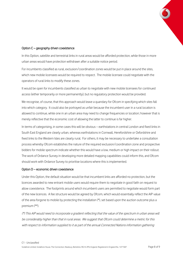

#### Option C – geography driven coexistence

In this Option, satellite and terrestrial links in rural areas would be afforded protection, while those in more urban areas would have protection withdrawn after a suitable notice period.

For incumbents classified as rural, exclusion/coordination zones would be put in place around the sites, which new mobile licensees would be required to respect. The mobile licensee could negotiate with the operators of rural links to modify these zones.

It would be open for incumbents classified as urban to negotiate with new mobile licensees for continued access (either temporarily or more permanently), but no regulatory protection would be provided.

We recognise, of course, that this approach would leave a quandary for Ofcom in specifying which sites fall into which category. It could also be portrayed as unfair because the incumbent user in a rural location is allowed to continue, while one in an urban area may need to change frequencies or location; however that is merely reflective that the economic cost of allowing the latter to continue is far higher.

In terms of categorising, in some cases this will be obvious – earthstations in central London and fixed links in South East England are clearly urban, whereas earthstations in Cornwall, Herefordshire or Oxfordshire and fixed links to the Western Isles are clearly rural. For others, it may be necessary to undertake a consultation process whereby Ofcom establishes the nature of the required exclusion/coordination zone and prospective bidders for mobile spectrum indicate whether this would have a low, medium or high impact on their rollout. The work of Ordance Survey in developing more detailed mapping capabilities could inform this, and Ofcom should work with Ordance Survey to prioritise locations where this is implemented.

#### Option D – economic driven coexistence

Under this Option, the default situation would be that incumbent links are afforded no protection, but the licences awarded to new entrant mobile users would require them to negotiate in good faith on request to allow coexistence. The footprints around which incumbent users are permitted to negotiate would form part of the new licences. A fee structure would be agreed by Ofcom, which would essentially reflect the AIP value of the area forgone to mobile by protecting the installation (\*), set based upon the auction outcome plus a premium (\*\*).

(\*) This AIP would need to incorporate a gradient reflecting that the value of the spectrum in urban areas will be considerably higher than that in rural areas. We suggest that Ofcom could determine a metric for this with respect to information supplied to it as part of the annual Connected Nations information gathering